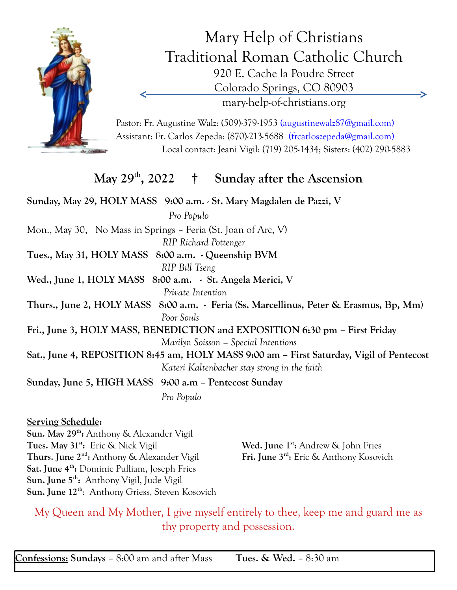

Mary Help of Christians Traditional Roman Catholic Church 920 E. Cache la Poudre Street Colorado Springs, CO 80903 mary-help-of-christians.org

Pastor: Fr. Augustine Walz: (509)-379-1953 (augustinewalz87@gmail.com) Assistant: Fr. Carlos Zepeda: (870)-213-5688 (frcarloszepeda@gmail.com) Local contact: Jeani Vigil: (719) 205-1434; Sisters: (402) 290-5883

## **May 29th , 2022 † Sunday after the Ascension**

**Sunday, May 29, HOLY MASS 9:00 a.m.** - **St. Mary Magdalen de Pazzi, V**  *Pro Populo* Mon., May 30, No Mass in Springs – Feria (St. Joan of Arc, V) *RIP Richard Pottenger* **Tues., May 31, HOLY MASS 8:00 a.m. - Queenship BVM** *RIP Bill Tseng* **Wed., June 1, HOLY MASS 8:00 a.m. - St. Angela Merici, V**  *Private Intention* **Thurs., June 2, HOLY MASS 8:00 a.m. - Feria (Ss. Marcellinus, Peter & Erasmus, Bp, Mm)** *Poor Souls* **Fri., June 3, HOLY MASS, BENEDICTION and EXPOSITION 6:30 pm – First Friday**  *Marilyn Soisson – Special Intentions* **Sat., June 4, REPOSITION 8:45 am, HOLY MASS 9:00 am – First Saturday, Vigil of Pentecost** *Kateri Kaltenbacher stay strong in the faith* **Sunday, June 5, HIGH MASS 9:00 a.m – Pentecost Sunday** *Pro Populo*

## **Serving Schedule:**

**Sun. May 29th :** Anthony & Alexander Vigil **Tues. May 31st :** Eric & Nick Vigil **Wed. June 1st Wed. June 1<sup>st</sup>:** Andrew & John Fries **Thurs. June 2nd :** Anthony & Alexander Vigil **Fri. June 3rd** Fri. June 3<sup>rd</sup>: Eric & Anthony Kosovich **Sat. June 4th :** Dominic Pulliam, Joseph Fries **Sun. June 5th :** Anthony Vigil, Jude Vigil **Sun. June 12th**: Anthony Griess, Steven Kosovich

My Queen and My Mother, I give myself entirely to thee, keep me and guard me as thy property and possession.

**Confessions: Sundays** – 8:00 am and after Mass **Tues. & Wed.** – 8:30 am